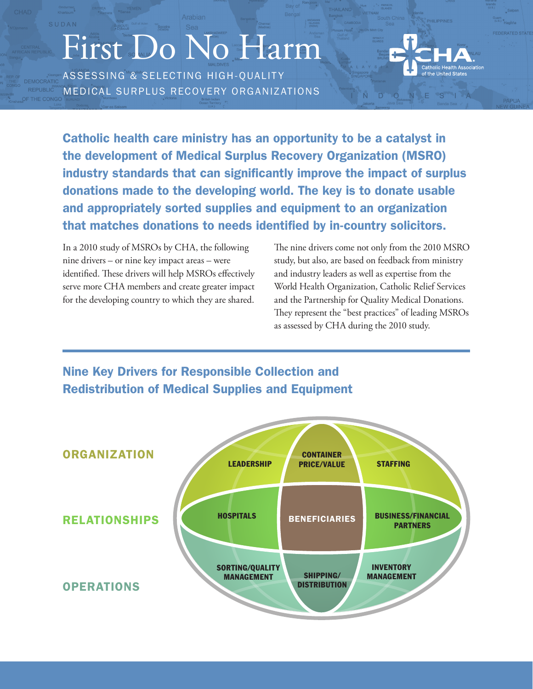# First Do No Harm

ASSESSING & SELECTING HIGH-QUALITY MEDICAL SURPLUS RECOVERY ORGANIZATIONS



SILA

Catholic health care ministry has an opportunity to be a catalyst in the development of Medical Surplus Recovery Organization (MSRO) industry standards that can significantly improve the impact of surplus donations made to the developing world. The key is to donate usable and appropriately sorted supplies and equipment to an organization that matches donations to needs identified by in-country solicitors.

In a 2010 study of MSROs by CHA, the following nine drivers – or nine key impact areas – were identified. These drivers will help MSROs effectively serve more CHA members and create greater impact for the developing country to which they are shared. The nine drivers come not only from the 2010 MSRO study, but also, are based on feedback from ministry and industry leaders as well as expertise from the World Health Organization, Catholic Relief Services and the Partnership for Quality Medical Donations. They represent the "best practices" of leading MSROs as assessed by CHA during the 2010 study.



## Nine Key Drivers for Responsible Collection and Redistribution of Medical Supplies and Equipment